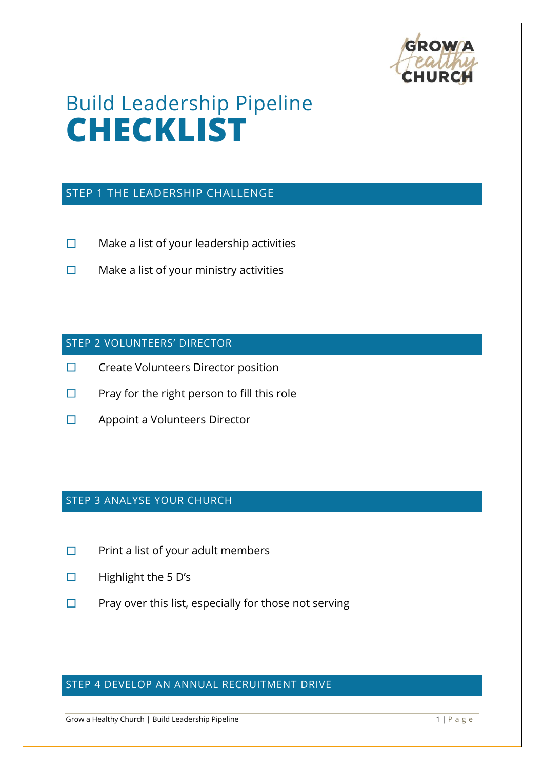

# Build Leadership Pipeline **CHECKLIST**

#### STEP 1 THE LEADERSHIP CHALLENGE

- ☐ Make a list of your leadership activities
- ☐ Make a list of your ministry activities

#### STEP 2 VOLUNTEERS' DIRECTOR

- ☐ Create Volunteers Director position
- $\Box$  Pray for the right person to fill this role
- ☐ Appoint a Volunteers Director

#### STEP 3 ANALYSE YOUR CHURCH

- ☐ Print a list of your adult members
- ☐ Highlight the 5 D's
- $\Box$  Pray over this list, especially for those not serving

## STEP 4 DEVELOP AN ANNUAL RECRUITMENT DRIVE

Grow a Healthy Church | Build Leadership Pipeline 1 | P a g e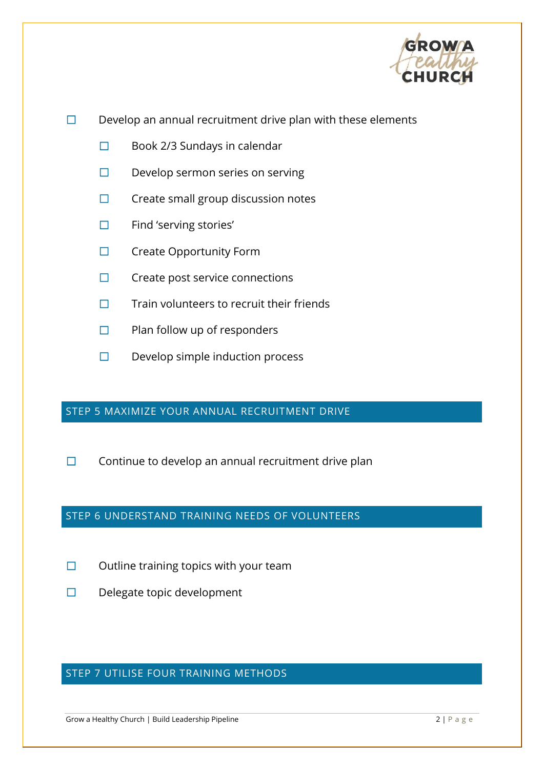

- $\Box$  Develop an annual recruitment drive plan with these elements
	- ☐ Book 2/3 Sundays in calendar
	- ☐ Develop sermon series on serving
	- ☐ Create small group discussion notes
	- ☐ Find 'serving stories'
	- ☐ Create Opportunity Form
	- ☐ Create post service connections
	- ☐ Train volunteers to recruit their friends
	- ☐ Plan follow up of responders
	- ☐ Develop simple induction process

#### STEP 5 MAXIMIZE YOUR ANNUAL RECRUITMENT DRIVE

 $\Box$  Continue to develop an annual recruitment drive plan

### STEP 6 UNDERSTAND TRAINING NEEDS OF VOLUNTEERS

- $\Box$  Outline training topics with your team
- ☐ Delegate topic development

## STEP 7 UTILISE FOUR TRAINING METHODS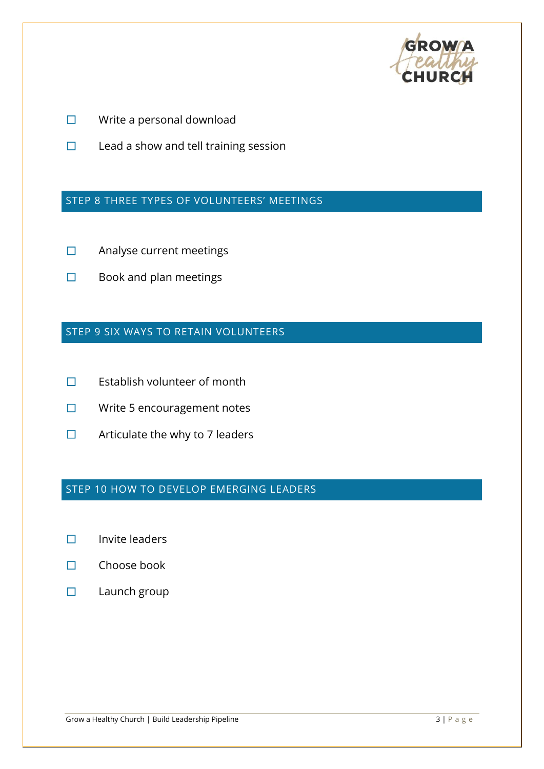

- ☐ Write a personal download
- ☐ Lead a show and tell training session

## STEP 8 THREE TYPES OF VOLUNTEERS' MEETINGS

- ☐ Analyse current meetings
- ☐ Book and plan meetings

#### STEP 9 SIX WAYS TO RETAIN VOLUNTEERS

- ☐ Establish volunteer of month
- ☐ Write 5 encouragement notes
- $\Box$  Articulate the why to 7 leaders

## STEP 10 HOW TO DEVELOP EMERGING LEADERS

- ☐ Invite leaders
- ☐ Choose book
- ☐ Launch group